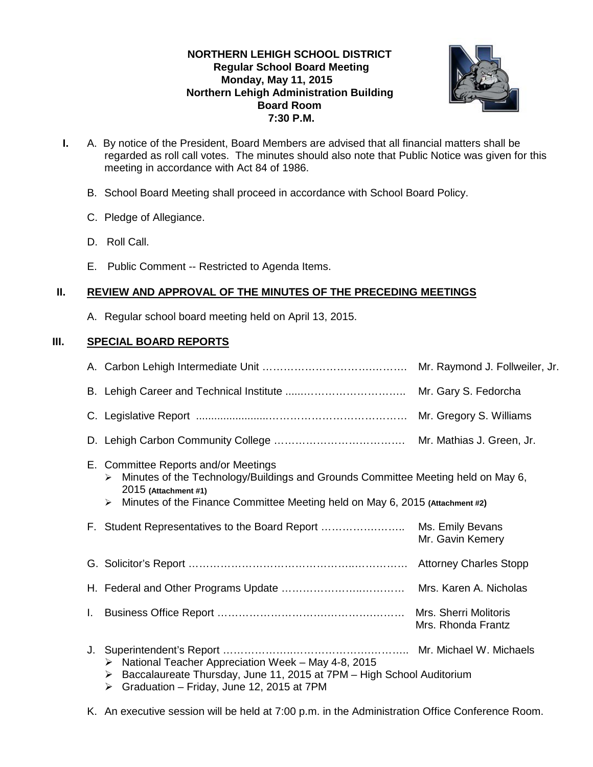# **NORTHERN LEHIGH SCHOOL DISTRICT Regular School Board Meeting Monday, May 11, 2015 Northern Lehigh Administration Building Board Room 7:30 P.M.**



- **I.** A. By notice of the President, Board Members are advised that all financial matters shall be regarded as roll call votes. The minutes should also note that Public Notice was given for this meeting in accordance with Act 84 of 1986.
	- B. School Board Meeting shall proceed in accordance with School Board Policy.
	- C. Pledge of Allegiance.
	- D. Roll Call.
	- E. Public Comment -- Restricted to Agenda Items.

# **II. REVIEW AND APPROVAL OF THE MINUTES OF THE PRECEDING MEETINGS**

A. Regular school board meeting held on April 13, 2015.

## **III. SPECIAL BOARD REPORTS**

|    |                                                                                                                                                                                                                                            | Mr. Gary S. Fedorcha                        |
|----|--------------------------------------------------------------------------------------------------------------------------------------------------------------------------------------------------------------------------------------------|---------------------------------------------|
|    |                                                                                                                                                                                                                                            |                                             |
|    |                                                                                                                                                                                                                                            |                                             |
|    | E. Committee Reports and/or Meetings<br>Minutes of the Technology/Buildings and Grounds Committee Meeting held on May 6,<br>➤<br>2015 (Attachment #1)<br>Minutes of the Finance Committee Meeting held on May 6, 2015 (Attachment #2)<br>➤ |                                             |
|    | F. Student Representatives to the Board Report                                                                                                                                                                                             | Ms. Emily Bevans<br>Mr. Gavin Kemery        |
|    |                                                                                                                                                                                                                                            |                                             |
|    |                                                                                                                                                                                                                                            |                                             |
| L. |                                                                                                                                                                                                                                            | Mrs. Sherri Molitoris<br>Mrs. Rhonda Frantz |
| J. | National Teacher Appreciation Week - May 4-8, 2015<br>➤<br>Baccalaureate Thursday, June 11, 2015 at 7PM - High School Auditorium<br>➤<br>Graduation - Friday, June 12, 2015 at 7PM<br>➤                                                    |                                             |

K. An executive session will be held at 7:00 p.m. in the Administration Office Conference Room.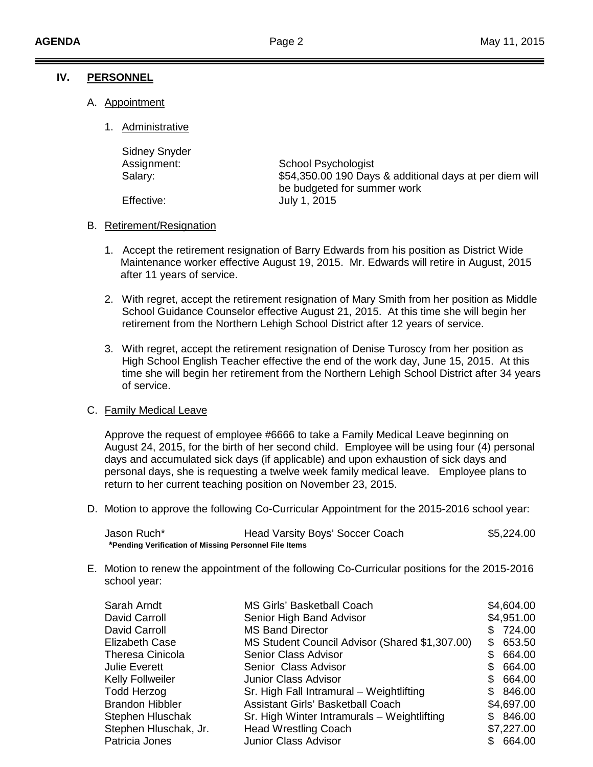### **IV. PERSONNEL**

- A. Appointment
	- 1. Administrative

| <b>Sidney Snyder</b> |                                                                                        |
|----------------------|----------------------------------------------------------------------------------------|
| Assignment:          | School Psychologist                                                                    |
| Salary:              | \$54,350.00 190 Days & additional days at per diem will<br>be budgeted for summer work |
| Effective:           | July 1, 2015                                                                           |

### B. Retirement/Resignation

- 1. Accept the retirement resignation of Barry Edwards from his position as District Wide Maintenance worker effective August 19, 2015. Mr. Edwards will retire in August, 2015 after 11 years of service.
- 2. With regret, accept the retirement resignation of Mary Smith from her position as Middle School Guidance Counselor effective August 21, 2015. At this time she will begin her retirement from the Northern Lehigh School District after 12 years of service.
- 3. With regret, accept the retirement resignation of Denise Turoscy from her position as High School English Teacher effective the end of the work day, June 15, 2015. At this time she will begin her retirement from the Northern Lehigh School District after 34 years of service.

# C. Family Medical Leave

Approve the request of employee #6666 to take a Family Medical Leave beginning on August 24, 2015, for the birth of her second child. Employee will be using four (4) personal days and accumulated sick days (if applicable) and upon exhaustion of sick days and personal days, she is requesting a twelve week family medical leave. Employee plans to return to her current teaching position on November 23, 2015.

D. Motion to approve the following Co-Curricular Appointment for the 2015-2016 school year:

| Jason Ruch*                                           | Head Varsity Boys' Soccer Coach | \$5,224.00 |
|-------------------------------------------------------|---------------------------------|------------|
| *Pending Verification of Missing Personnel File Items |                                 |            |

E. Motion to renew the appointment of the following Co-Curricular positions for the 2015-2016 school year:

| Sarah Arndt             | <b>MS Girls' Basketball Coach</b>              |     | \$4,604.00 |
|-------------------------|------------------------------------------------|-----|------------|
| David Carroll           | Senior High Band Advisor                       |     | \$4,951.00 |
| David Carroll           | <b>MS Band Director</b>                        |     | \$724.00   |
| <b>Elizabeth Case</b>   | MS Student Council Advisor (Shared \$1,307.00) | S.  | 653.50     |
| <b>Theresa Cinicola</b> | <b>Senior Class Advisor</b>                    |     | 664.00     |
| <b>Julie Everett</b>    | Senior Class Advisor                           |     | \$ 664.00  |
| <b>Kelly Follweiler</b> | <b>Junior Class Advisor</b>                    | SS. | 664.00     |
| <b>Todd Herzog</b>      | Sr. High Fall Intramural - Weightlifting       |     | \$ 846.00  |
| <b>Brandon Hibbler</b>  | <b>Assistant Girls' Basketball Coach</b>       |     | \$4,697.00 |
| Stephen Hluschak        | Sr. High Winter Intramurals - Weightlifting    |     | \$846.00   |
| Stephen Hluschak, Jr.   | <b>Head Wrestling Coach</b>                    |     | \$7,227.00 |
| Patricia Jones          | Junior Class Advisor                           |     | 664.00     |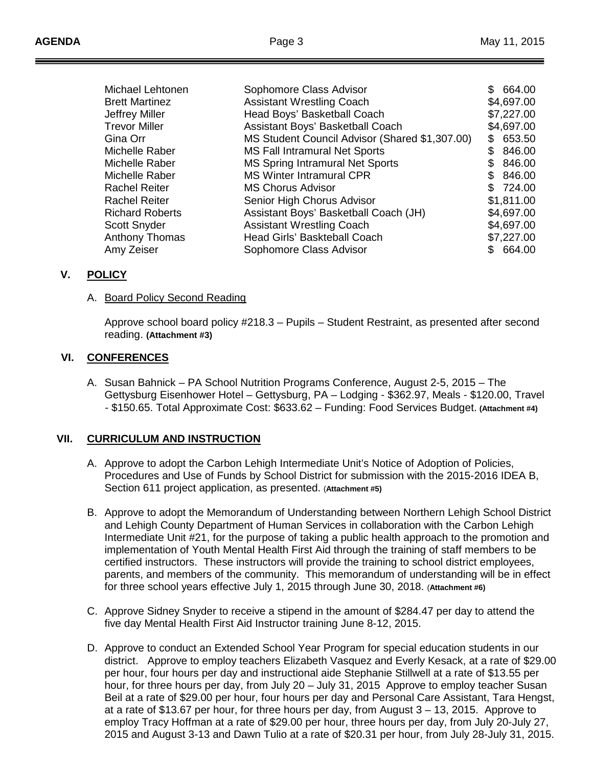| Michael Lehtonen       | Sophomore Class Advisor                        | \$. | 664.00     |
|------------------------|------------------------------------------------|-----|------------|
| <b>Brett Martinez</b>  | <b>Assistant Wrestling Coach</b>               |     | \$4,697.00 |
| Jeffrey Miller         | Head Boys' Basketball Coach                    |     | \$7,227.00 |
| <b>Trevor Miller</b>   | Assistant Boys' Basketball Coach               |     | \$4,697.00 |
| Gina Orr               | MS Student Council Advisor (Shared \$1,307.00) | \$  | 653.50     |
| Michelle Raber         | <b>MS Fall Intramural Net Sports</b>           | £.  | 846.00     |
| Michelle Raber         | MS Spring Intramural Net Sports                | S   | 846.00     |
| Michelle Raber         | <b>MS Winter Intramural CPR</b>                | \$  | 846.00     |
| <b>Rachel Reiter</b>   | <b>MS Chorus Advisor</b>                       |     | \$724.00   |
| <b>Rachel Reiter</b>   | Senior High Chorus Advisor                     |     | \$1,811.00 |
| <b>Richard Roberts</b> | Assistant Boys' Basketball Coach (JH)          |     | \$4,697.00 |
| Scott Snyder           | <b>Assistant Wrestling Coach</b>               |     | \$4,697.00 |
| <b>Anthony Thomas</b>  | Head Girls' Baskteball Coach                   |     | \$7,227.00 |
| Amy Zeiser             | Sophomore Class Advisor                        | \$. | 664.00     |

#### **V. POLICY**

#### A. <u>Board Policy Second Reading</u>

Approve school board policy #218.3 – Pupils – Student Restraint, as presented after second reading. **(Attachment #3)**

#### **VI. CONFERENCES**

A. Susan Bahnick – PA School Nutrition Programs Conference, August 2-5, 2015 – The Gettysburg Eisenhower Hotel – Gettysburg, PA – Lodging - \$362.97, Meals - \$120.00, Travel - \$150.65. Total Approximate Cost: \$633.62 – Funding: Food Services Budget. **(Attachment #4)**

#### **VII. CURRICULUM AND INSTRUCTION**

- A. Approve to adopt the Carbon Lehigh Intermediate Unit's Notice of Adoption of Policies, Procedures and Use of Funds by School District for submission with the 2015-2016 IDEA B, Section 611 project application, as presented. (**Attachment #5)**
- B. Approve to adopt the Memorandum of Understanding between Northern Lehigh School District and Lehigh County Department of Human Services in collaboration with the Carbon Lehigh Intermediate Unit #21, for the purpose of taking a public health approach to the promotion and implementation of Youth Mental Health First Aid through the training of staff members to be certified instructors. These instructors will provide the training to school district employees, parents, and members of the community. This memorandum of understanding will be in effect for three school years effective July 1, 2015 through June 30, 2018. (**Attachment #6)**
- C. Approve Sidney Snyder to receive a stipend in the amount of \$284.47 per day to attend the five day Mental Health First Aid Instructor training June 8-12, 2015.
- D. Approve to conduct an Extended School Year Program for special education students in our district. Approve to employ teachers Elizabeth Vasquez and Everly Kesack, at a rate of \$29.00 per hour, four hours per day and instructional aide Stephanie Stillwell at a rate of \$13.55 per hour, for three hours per day, from July 20 – July 31, 2015 Approve to employ teacher Susan Beil at a rate of \$29.00 per hour, four hours per day and Personal Care Assistant, Tara Hengst, at a rate of \$13.67 per hour, for three hours per day, from August 3 – 13, 2015. Approve to employ Tracy Hoffman at a rate of \$29.00 per hour, three hours per day, from July 20-July 27, 2015 and August 3-13 and Dawn Tulio at a rate of \$20.31 per hour, from July 28-July 31, 2015.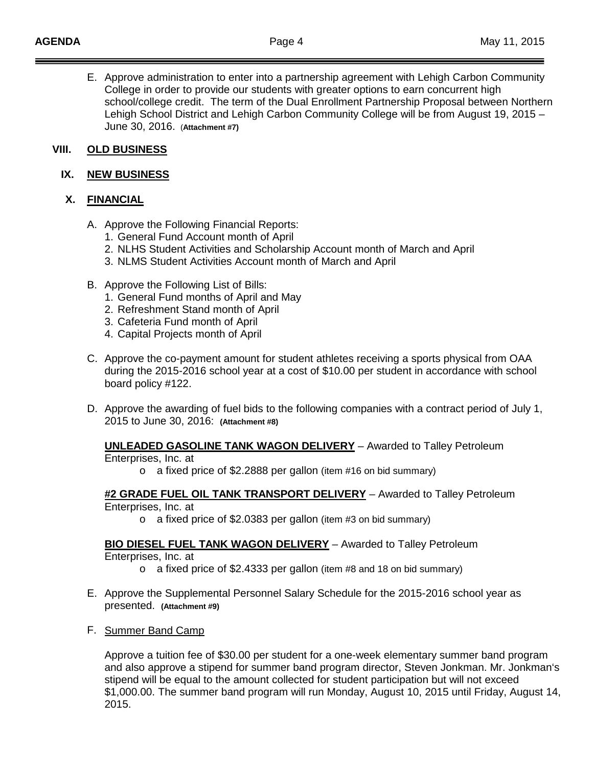E. Approve administration to enter into a partnership agreement with Lehigh Carbon Community College in order to provide our students with greater options to earn concurrent high school/college credit. The term of the Dual Enrollment Partnership Proposal between Northern Lehigh School District and Lehigh Carbon Community College will be from August 19, 2015 – June 30, 2016. (**Attachment #7)**

#### **VIII. OLD BUSINESS**

#### **IX. NEW BUSINESS**

## **X. FINANCIAL**

- A. Approve the Following Financial Reports:
	- 1. General Fund Account month of April
	- 2. NLHS Student Activities and Scholarship Account month of March and April
	- 3. NLMS Student Activities Account month of March and April
- B. Approve the Following List of Bills:
	- 1. General Fund months of April and May
	- 2. Refreshment Stand month of April
	- 3. Cafeteria Fund month of April
	- 4. Capital Projects month of April
- C. Approve the co-payment amount for student athletes receiving a sports physical from OAA during the 2015-2016 school year at a cost of \$10.00 per student in accordance with school board policy #122.
- D. Approve the awarding of fuel bids to the following companies with a contract period of July 1, 2015 to June 30, 2016: **(Attachment #8)**

## **UNLEADED GASOLINE TANK WAGON DELIVERY** – Awarded to Talley Petroleum

Enterprises, Inc. at

o a fixed price of \$2.2888 per gallon (item #16 on bid summary)

#### **#2 GRADE FUEL OIL TANK TRANSPORT DELIVERY** – Awarded to Talley Petroleum Enterprises, Inc. at

o a fixed price of \$2.0383 per gallon (item #3 on bid summary)

**BIO DIESEL FUEL TANK WAGON DELIVERY** – Awarded to Talley Petroleum

Enterprises, Inc. at

- o a fixed price of \$2.4333 per gallon (item #8 and 18 on bid summary)
- E. Approve the Supplemental Personnel Salary Schedule for the 2015-2016 school year as presented. **(Attachment #9)**
- F. Summer Band Camp

Approve a tuition fee of \$30.00 per student for a one-week elementary summer band program and also approve a stipend for summer band program director, Steven Jonkman. Mr. Jonkman's stipend will be equal to the amount collected for student participation but will not exceed \$1,000.00. The summer band program will run Monday, August 10, 2015 until Friday, August 14, 2015.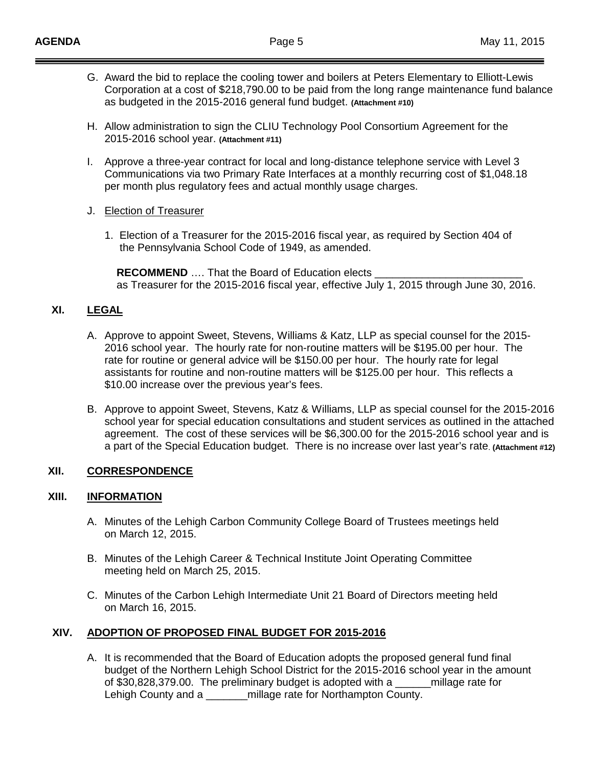- G. Award the bid to replace the cooling tower and boilers at Peters Elementary to Elliott-Lewis Corporation at a cost of \$218,790.00 to be paid from the long range maintenance fund balance as budgeted in the 2015-2016 general fund budget. **(Attachment #10)**
- H. Allow administration to sign the CLIU Technology Pool Consortium Agreement for the 2015-2016 school year. **(Attachment #11)**
- I. Approve a three-year contract for local and long-distance telephone service with Level 3 Communications via two Primary Rate Interfaces at a monthly recurring cost of \$1,048.18 per month plus regulatory fees and actual monthly usage charges.
- J. Election of Treasurer
	- 1. Election of a Treasurer for the 2015-2016 fiscal year, as required by Section 404 of the Pennsylvania School Code of 1949, as amended.

**RECOMMEND** .... That the Board of Education elects as Treasurer for the 2015-2016 fiscal year, effective July 1, 2015 through June 30, 2016.

## **XI. LEGAL**

- A. Approve to appoint Sweet, Stevens, Williams & Katz, LLP as special counsel for the 2015- 2016 school year. The hourly rate for non-routine matters will be \$195.00 per hour. The rate for routine or general advice will be \$150.00 per hour. The hourly rate for legal assistants for routine and non-routine matters will be \$125.00 per hour. This reflects a \$10.00 increase over the previous year's fees.
- B. Approve to appoint Sweet, Stevens, Katz & Williams, LLP as special counsel for the 2015-2016 school year for special education consultations and student services as outlined in the attached agreement. The cost of these services will be \$6,300.00 for the 2015-2016 school year and is a part of the Special Education budget. There is no increase over last year's rate. **(Attachment #12)**

## **XII. CORRESPONDENCE**

#### **XIII. INFORMATION**

- A. Minutes of the Lehigh Carbon Community College Board of Trustees meetings held on March 12, 2015.
- B. Minutes of the Lehigh Career & Technical Institute Joint Operating Committee meeting held on March 25, 2015.
- C. Minutes of the Carbon Lehigh Intermediate Unit 21 Board of Directors meeting held on March 16, 2015.

## **XIV. ADOPTION OF PROPOSED FINAL BUDGET FOR 2015-2016**

A. It is recommended that the Board of Education adopts the proposed general fund final budget of the Northern Lehigh School District for the 2015-2016 school year in the amount of \$30,828,379.00. The preliminary budget is adopted with a \_\_\_\_\_\_millage rate for Lehigh County and a **Example 2** millage rate for Northampton County.